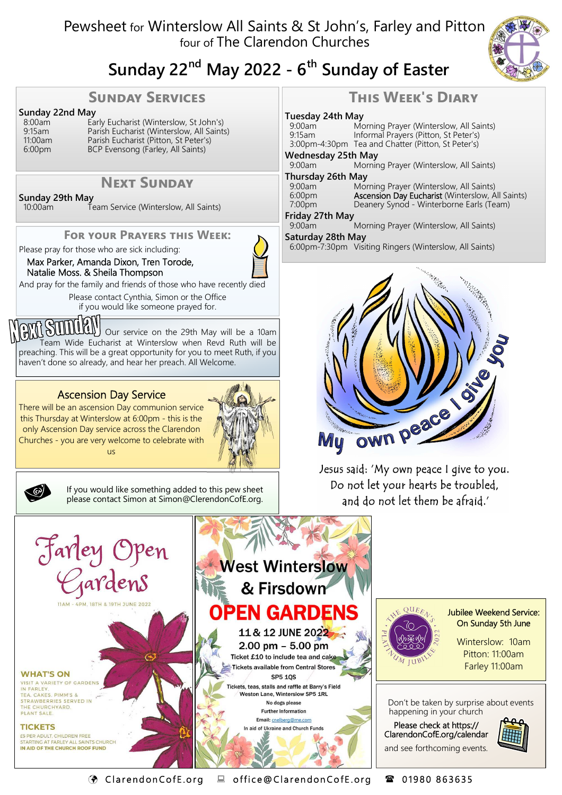# Pewsheet for Winterslow All Saints & St John's, Farley and Pitton four of The Clarendon Churches



# **Sunday 22nd May 2022 - 6th Sunday of Easter**

#### **SUNDAY SERVICES**

# **Sunday 22nd May**<br>8:00am **Ea**

8:00am Early Eucharist (Winterslow, St John's) 9:15am Parish Eucharist (Winterslow, All Saints)<br>11:00am Parish Eucharist (Pitton, St Peter's) 11:00am Parish Eucharist (Pitton, St Peter's)<br>6:00pm BCP Evensong (Farley, All Saints) BCP Evensong (Farley, All Saints)

## **NEXT SUNDAY**

**Sunday 29th May**<br><sup>10:00am</sup>

Team Service (Winterslow, All Saints)

#### **FOR YOUR PRAYERS THIS WEEK:**

Please pray for those who are sick including:

Max Parker, Amanda Dixon, Tren Torode, Natalie Moss. & Sheila Thompson



And pray for the family and friends of those who have recently died

Please contact Cynthia, Simon or the Office if you would like someone prayed for.

**OULLEY** Our service on the 29th May will be a 10am Team Wide Eucharist at Winterslow when Revd Ruth will be preaching. This will be a great opportunity for you to meet Ruth, if you haven't done so already, and hear her preach. All Welcome.

#### Ascension Day Service

There will be an ascension Day communion service this Thursday at Winterslow at 6:00pm - this is the only Ascension Day service across the Clarendon Churches - you are very welcome to celebrate with us





If you would like something added to this pew sheet please contact Simon at Simon@ClerendonCofE.org.

# **THIS WEEK'S DIARY**

# **Tuesday 24th May**

9:00am Morning Prayer (Winterslow, All Saints)<br>9:15am Informal Prayers (Pitton, St Peter's) Informal Prayers (Pitton, St Peter's) 3:00pm-4:30pm Tea and Chatter (Pitton, St Peter's) **Wednesday 25th May**  Morning Prayer (Winterslow, All Saints) **Thursday 26th May**  9:00am Morning Prayer (Winterslow, All Saints)<br>6:00pm **Ascension Dav Eucharist** (Winterslow, A 6:00pm **Ascension Day Eucharist** (Winterslow, All Saints)<br>7:00pm Deanery Synod - Winterborne Earls (Team) Deanery Synod - Winterborne Earls (Team) **Friday 27th May**  9:00am Morning Prayer (Winterslow, All Saints) **Saturday 28th May**  6:00pm-7:30pm Visiting Ringers (Winterslow, All Saints)



Jesus said: 'My own peace I give to you. Do not let your hearts be troubled, and do not let them be afraid.'



C l a r e nd on Co f E .o r g o f f i c e @ Cl a r en don Co f E . or g 0 1 9 8 0 8 6 36 35